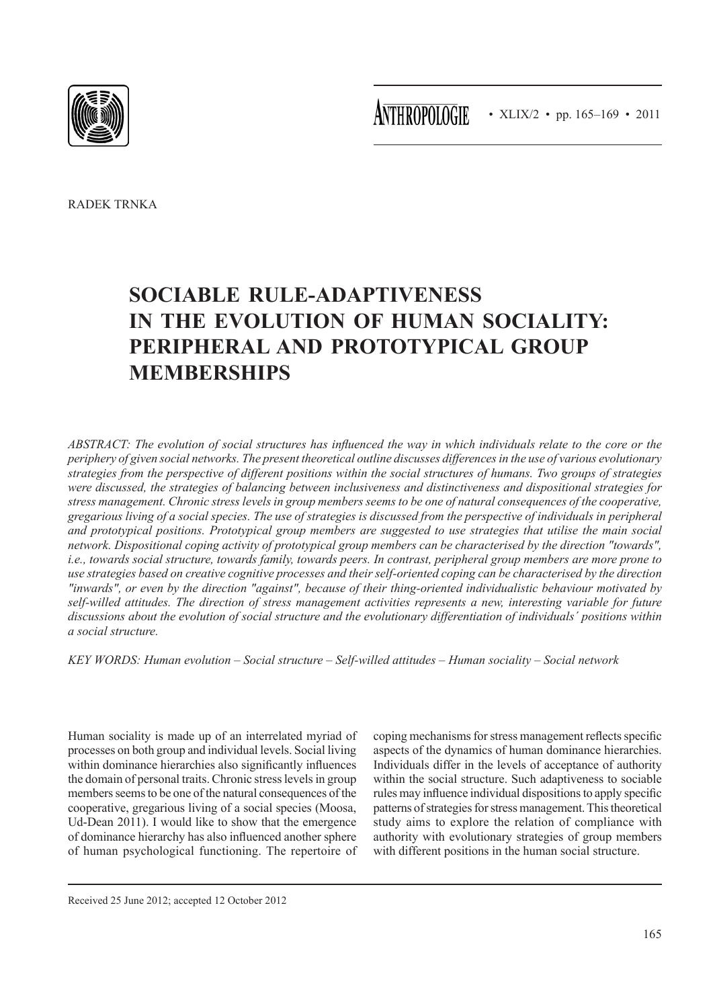**ANTHROPOLOGIE** • XLIX/2 • pp. 165-169 • 2011



Radek Trnka

# **Sociable rule-adaptiveness in the evolution of human sociality: Peripheral and prototypical group memberships**

*Abstract: The evolution of social structures has influenced the way in which individuals relate to the core or the periphery of given social networks. The present theoretical outline discusses differences in the use of various evolutionary strategies from the perspective of different positions within the social structures of humans. Two groups of strategies were discussed, the strategies of balancing between inclusiveness and distinctiveness and dispositional strategies for stress management. Chronic stress levels in group members seems to be one of natural consequences of the cooperative, gregarious living of a social species. The use of strategies is discussed from the perspective of individuals in peripheral and prototypical positions. Prototypical group members are suggested to use strategies that utilise the main social network. Dispositional coping activity of prototypical group members can be characterised by the direction "towards", i.e., towards social structure, towards family, towards peers. In contrast, peripheral group members are more prone to use strategies based on creative cognitive processes and their self-oriented coping can be characterised by the direction "inwards", or even by the direction "against", because of their thing-oriented individualistic behaviour motivated by self-willed attitudes. The direction of stress management activities represents a new, interesting variable for future discussions about the evolution of social structure and the evolutionary differentiation of individuals´ positions within a social structure.*

*Key words: Human evolution – Social structure – Self-willed attitudes – Human sociality – Social network*

Human sociality is made up of an interrelated myriad of processes on both group and individual levels. Social living within dominance hierarchies also significantly influences the domain of personal traits. Chronic stress levels in group members seems to be one of the natural consequences of the cooperative, gregarious living of a social species (Moosa, Ud-Dean 2011). I would like to show that the emergence of dominance hierarchy has also influenced another sphere of human psychological functioning. The repertoire of

coping mechanisms for stress management reflects specific aspects of the dynamics of human dominance hierarchies. Individuals differ in the levels of acceptance of authority within the social structure. Such adaptiveness to sociable rules may influence individual dispositions to apply specific patterns of strategies for stress management. This theoretical study aims to explore the relation of compliance with authority with evolutionary strategies of group members with different positions in the human social structure.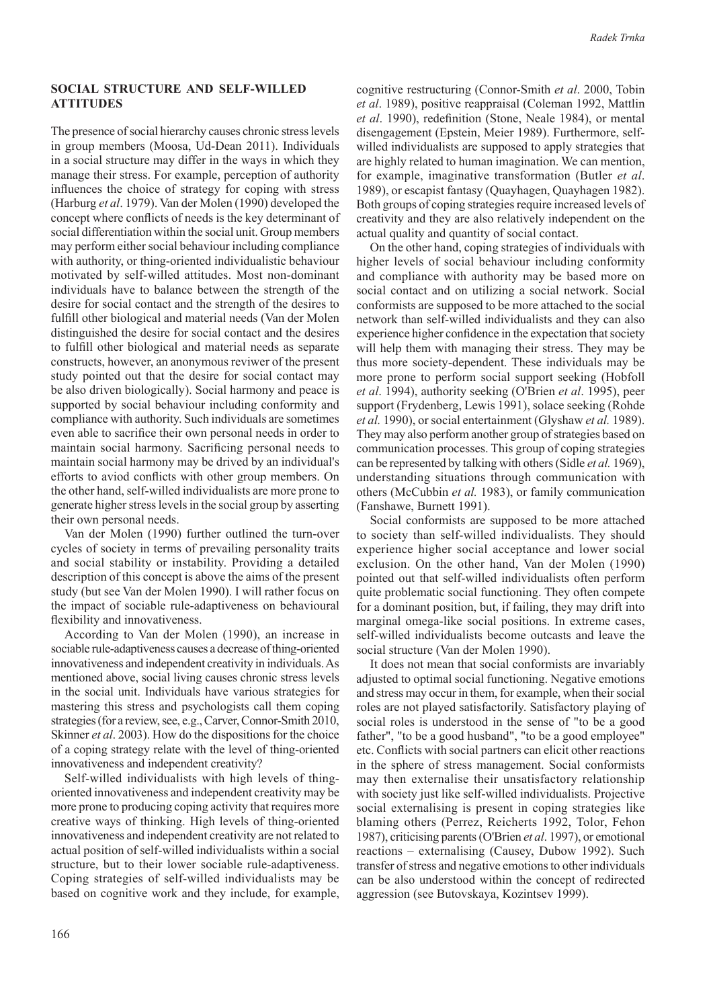## **Social structure and self-willed attitudes**

The presence of social hierarchy causes chronic stress levels in group members (Moosa, Ud-Dean 2011). Individuals in a social structure may differ in the ways in which they manage their stress. For example, perception of authority influences the choice of strategy for coping with stress (Harburg *et al*. 1979). Van der Molen (1990) developed the concept where conflicts of needs is the key determinant of social differentiation within the social unit. Group members may perform either social behaviour including compliance with authority, or thing-oriented individualistic behaviour motivated by self-willed attitudes. Most non-dominant individuals have to balance between the strength of the desire for social contact and the strength of the desires to fulfill other biological and material needs (Van der Molen distinguished the desire for social contact and the desires to fulfill other biological and material needs as separate constructs, however, an anonymous reviwer of the present study pointed out that the desire for social contact may be also driven biologically). Social harmony and peace is supported by social behaviour including conformity and compliance with authority. Such individuals are sometimes even able to sacrifice their own personal needs in order to maintain social harmony. Sacrificing personal needs to maintain social harmony may be drived by an individual's efforts to aviod conflicts with other group members. On the other hand, self-willed individualists are more prone to generate higher stress levels in the social group by asserting their own personal needs.

Van der Molen (1990) further outlined the turn-over cycles of society in terms of prevailing personality traits and social stability or instability. Providing a detailed description of this concept is above the aims of the present study (but see Van der Molen 1990). I will rather focus on the impact of sociable rule-adaptiveness on behavioural flexibility and innovativeness.

According to Van der Molen (1990), an increase in sociable rule-adaptiveness causes a decrease of thing-oriented innovativeness and independent creativity in individuals. As mentioned above, social living causes chronic stress levels in the social unit. Individuals have various strategies for mastering this stress and psychologists call them coping strategies (for a review, see, e.g., Carver, Connor-Smith 2010, Skinner *et al*. 2003). How do the dispositions for the choice of a coping strategy relate with the level of thing-oriented innovativeness and independent creativity?

Self-willed individualists with high levels of thingoriented innovativeness and independent creativity may be more prone to producing coping activity that requires more creative ways of thinking. High levels of thing-oriented innovativeness and independent creativity are not related to actual position of self-willed individualists within a social structure, but to their lower sociable rule-adaptiveness. Coping strategies of self-willed individualists may be based on cognitive work and they include, for example, cognitive restructuring (Connor-Smith *et al*. 2000, Tobin *et al*. 1989), positive reappraisal (Coleman 1992, Mattlin *et al*. 1990), redefinition (Stone, Neale 1984), or mental disengagement (Epstein, Meier 1989). Furthermore, selfwilled individualists are supposed to apply strategies that are highly related to human imagination. We can mention, for example, imaginative transformation (Butler *et al*. 1989), or escapist fantasy (Quayhagen, Quayhagen 1982). Both groups of coping strategies require increased levels of creativity and they are also relatively independent on the actual quality and quantity of social contact.

On the other hand, coping strategies of individuals with higher levels of social behaviour including conformity and compliance with authority may be based more on social contact and on utilizing a social network. Social conformists are supposed to be more attached to the social network than self-willed individualists and they can also experience higher confidence in the expectation that society will help them with managing their stress. They may be thus more society-dependent. These individuals may be more prone to perform social support seeking (Hobfoll *et al*. 1994), authority seeking (O'Brien *et al*. 1995), peer support (Frydenberg, Lewis 1991), solace seeking (Rohde *et al.* 1990), or social entertainment (Glyshaw *et al.* 1989). They may also perform another group of strategies based on communication processes. This group of coping strategies can be represented by talking with others (Sidle *et al.* 1969), understanding situations through communication with others (McCubbin *et al.* 1983), or family communication (Fanshawe, Burnett 1991).

Social conformists are supposed to be more attached to society than self-willed individualists. They should experience higher social acceptance and lower social exclusion. On the other hand, Van der Molen (1990) pointed out that self-willed individualists often perform quite problematic social functioning. They often compete for a dominant position, but, if failing, they may drift into marginal omega-like social positions. In extreme cases, self-willed individualists become outcasts and leave the social structure (Van der Molen 1990).

It does not mean that social conformists are invariably adjusted to optimal social functioning. Negative emotions and stress may occur in them, for example, when their social roles are not played satisfactorily. Satisfactory playing of social roles is understood in the sense of "to be a good father", "to be a good husband", "to be a good employee" etc. Conflicts with social partners can elicit other reactions in the sphere of stress management. Social conformists may then externalise their unsatisfactory relationship with society just like self-willed individualists. Projective social externalising is present in coping strategies like blaming others (Perrez, Reicherts 1992, Tolor, Fehon 1987), criticising parents (O'Brien *et al*. 1997), or emotional reactions – externalising (Causey, Dubow 1992). Such transfer of stress and negative emotions to other individuals can be also understood within the concept of redirected aggression (see Butovskaya, Kozintsev 1999).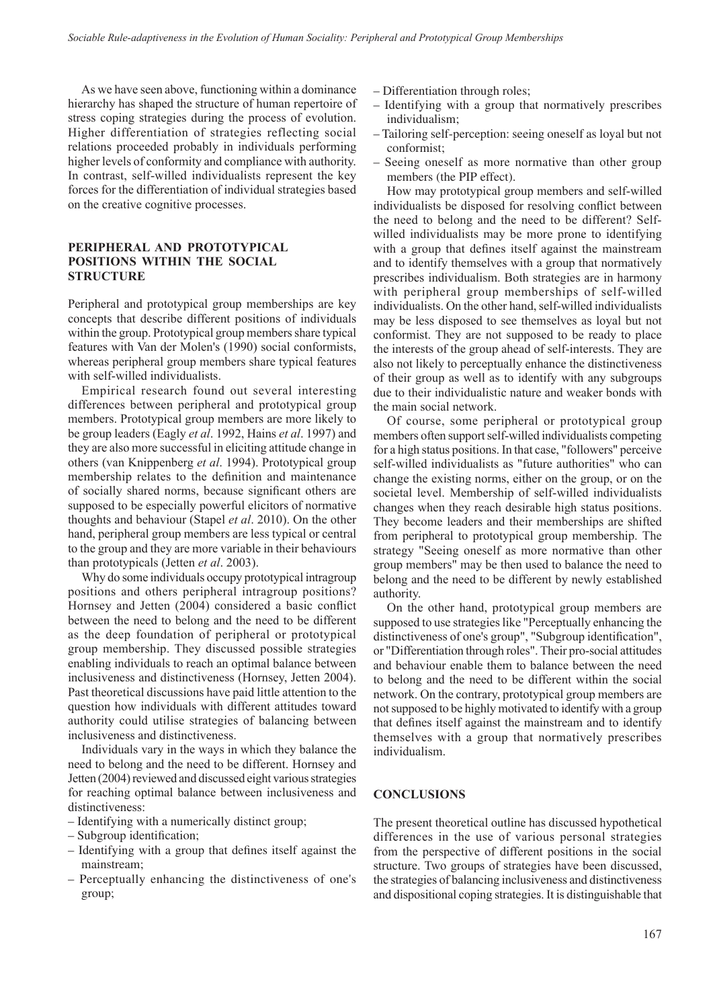As we have seen above, functioning within a dominance hierarchy has shaped the structure of human repertoire of stress coping strategies during the process of evolution. Higher differentiation of strategies reflecting social relations proceeded probably in individuals performing higher levels of conformity and compliance with authority. In contrast, self-willed individualists represent the key forces for the differentiation of individual strategies based on the creative cognitive processes.

## **Peripheral and prototypical positions within the social sTRUCTURE**

Peripheral and prototypical group memberships are key concepts that describe different positions of individuals within the group. Prototypical group members share typical features with Van der Molen's (1990) social conformists, whereas peripheral group members share typical features with self-willed individualists.

Empirical research found out several interesting differences between peripheral and prototypical group members. Prototypical group members are more likely to be group leaders (Eagly *et al*. 1992, Hains *et al*. 1997) and they are also more successful in eliciting attitude change in others (van Knippenberg *et al*. 1994). Prototypical group membership relates to the definition and maintenance of socially shared norms, because significant others are supposed to be especially powerful elicitors of normative thoughts and behaviour (Stapel *et al*. 2010). On the other hand, peripheral group members are less typical or central to the group and they are more variable in their behaviours than prototypicals (Jetten *et al*. 2003).

Why do some individuals occupy prototypical intragroup positions and others peripheral intragroup positions? Hornsey and Jetten (2004) considered a basic conflict between the need to belong and the need to be different as the deep foundation of peripheral or prototypical group membership. They discussed possible strategies enabling individuals to reach an optimal balance between inclusiveness and distinctiveness (Hornsey, Jetten 2004). Past theoretical discussions have paid little attention to the question how individuals with different attitudes toward authority could utilise strategies of balancing between inclusiveness and distinctiveness.

Individuals vary in the ways in which they balance the need to belong and the need to be different. Hornsey and Jetten (2004) reviewed and discussed eight various strategies for reaching optimal balance between inclusiveness and distinctiveness:

- Identifying with a numerically distinct group;
- Subgroup identification;
- Identifying with a group that defines itself against the mainstream;
- Perceptually enhancing the distinctiveness of one's group;
- Differentiation through roles;
- Identifying with a group that normatively prescribes individualism;
- Tailoring self-perception: seeing oneself as loyal but not conformist;
- Seeing oneself as more normative than other group members (the PIP effect).

How may prototypical group members and self-willed individualists be disposed for resolving conflict between the need to belong and the need to be different? Selfwilled individualists may be more prone to identifying with a group that defines itself against the mainstream and to identify themselves with a group that normatively prescribes individualism. Both strategies are in harmony with peripheral group memberships of self-willed individualists. On the other hand, self-willed individualists may be less disposed to see themselves as loyal but not conformist. They are not supposed to be ready to place the interests of the group ahead of self-interests. They are also not likely to perceptually enhance the distinctiveness of their group as well as to identify with any subgroups due to their individualistic nature and weaker bonds with the main social network.

Of course, some peripheral or prototypical group members often support self-willed individualists competing for a high status positions. In that case, "followers" perceive self-willed individualists as "future authorities" who can change the existing norms, either on the group, or on the societal level. Membership of self-willed individualists changes when they reach desirable high status positions. They become leaders and their memberships are shifted from peripheral to prototypical group membership. The strategy "Seeing oneself as more normative than other group members" may be then used to balance the need to belong and the need to be different by newly established authority.

On the other hand, prototypical group members are supposed to use strategies like "Perceptually enhancing the distinctiveness of one's group", "Subgroup identification", or "Differentiation through roles". Their pro-social attitudes and behaviour enable them to balance between the need to belong and the need to be different within the social network. On the contrary, prototypical group members are not supposed to be highly motivated to identify with a group that defines itself against the mainstream and to identify themselves with a group that normatively prescribes individualism.

## **Conclusions**

The present theoretical outline has discussed hypothetical differences in the use of various personal strategies from the perspective of different positions in the social structure. Two groups of strategies have been discussed, the strategies of balancing inclusiveness and distinctiveness and dispositional coping strategies. It is distinguishable that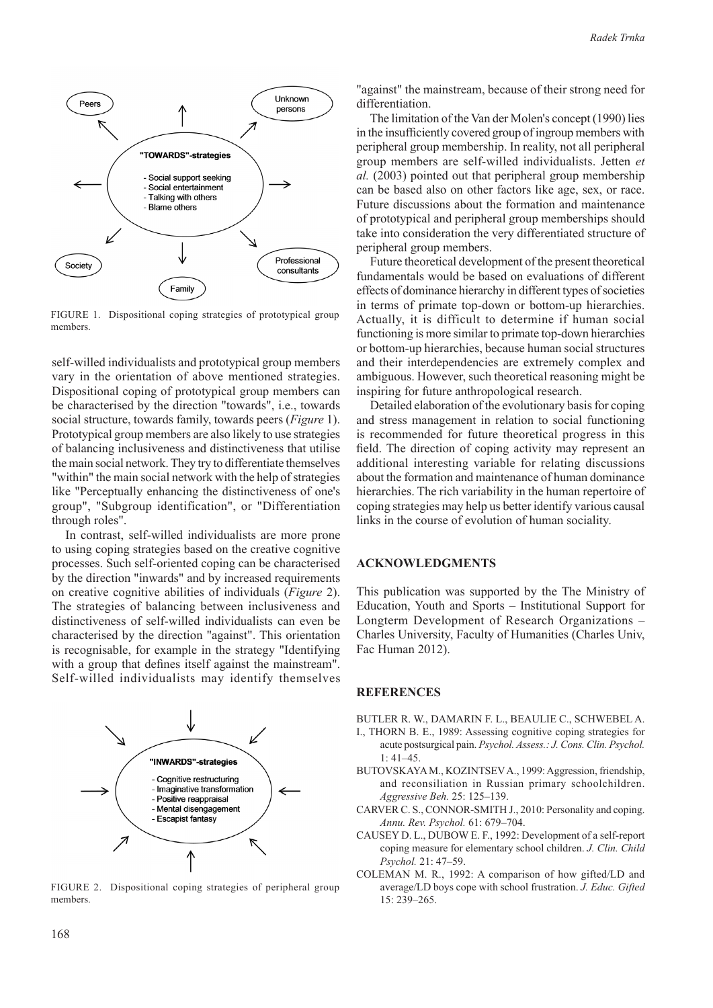

FIGURE 1. Dispositional coping strategies of prototypical group members.

self-willed individualists and prototypical group members vary in the orientation of above mentioned strategies. Dispositional coping of prototypical group members can be characterised by the direction "towards", i.e., towards social structure, towards family, towards peers (*Figure* 1). Prototypical group members are also likely to use strategies of balancing inclusiveness and distinctiveness that utilise the main social network. They try to differentiate themselves "within" the main social network with the help of strategies like "Perceptually enhancing the distinctiveness of one's group", "Subgroup identification", or "Differentiation through roles".

In contrast, self-willed individualists are more prone to using coping strategies based on the creative cognitive processes. Such self-oriented coping can be characterised by the direction "inwards" and by increased requirements on creative cognitive abilities of individuals (*Figure* 2). The strategies of balancing between inclusiveness and distinctiveness of self-willed individualists can even be characterised by the direction "against". This orientation is recognisable, for example in the strategy "Identifying with a group that defines itself against the mainstream". Self-willed individualists may identify themselves



FIGURE 2. Dispositional coping strategies of peripheral group members.

"against" the mainstream, because of their strong need for differentiation.

The limitation of the Van der Molen's concept (1990) lies in the insufficiently covered group of ingroup members with peripheral group membership. In reality, not all peripheral group members are self-willed individualists. Jetten *et al.* (2003) pointed out that peripheral group membership can be based also on other factors like age, sex, or race. Future discussions about the formation and maintenance of prototypical and peripheral group memberships should take into consideration the very differentiated structure of peripheral group members.

Future theoretical development of the present theoretical fundamentals would be based on evaluations of different effects of dominance hierarchy in different types of societies in terms of primate top-down or bottom-up hierarchies. Actually, it is difficult to determine if human social functioning is more similar to primate top-down hierarchies or bottom-up hierarchies, because human social structures and their interdependencies are extremely complex and ambiguous. However, such theoretical reasoning might be inspiring for future anthropological research.

Detailed elaboration of the evolutionary basis for coping and stress management in relation to social functioning is recommended for future theoretical progress in this field. The direction of coping activity may represent an additional interesting variable for relating discussions about the formation and maintenance of human dominance hierarchies. The rich variability in the human repertoire of coping strategies may help us better identify various causal links in the course of evolution of human sociality.

#### **ACKNOWLEDGMENTS**

This publication was supported by the The Ministry of Education, Youth and Sports – Institutional Support for Longterm Development of Research Organizations – Charles University, Faculty of Humanities (Charles Univ, Fac Human 2012).

#### **REFERENCES**

- BUTLER R. W., DAMARIN F. L., BEAULIE C., SCHWEBEL A. I., THORN B. E., 1989: Assessing cognitive coping strategies for
- acute postsurgical pain. *Psychol. Assess.: J. Cons. Clin. Psychol.*  $1:41-45$
- BUTOVSKAYA M., KOZINTSEV A., 1999: Aggression, friendship, and reconsiliation in Russian primary schoolchildren. *Aggressive Beh.* 25: 125–139.
- CARVER C. S., CONNOR-SMITH J., 2010: Personality and coping. *Annu. Rev. Psychol.* 61: 679–704.
- CAUSEY D. L., DUBOW E. F., 1992: Development of a self-report coping measure for elementary school children. *J. Clin. Child Psychol.* 21: 47–59.
- COLEMAN M. R., 1992: A comparison of how gifted/LD and average/LD boys cope with school frustration. *J. Educ. Gifted* 15: 239–265.